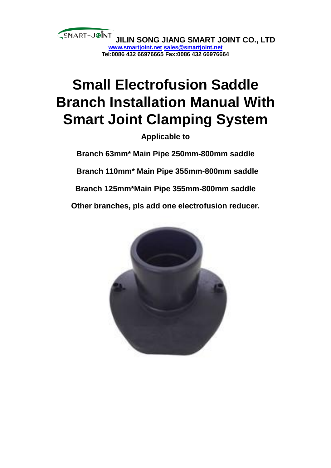

# **Small Electrofusion Saddle Branch Installation Manual With Smart Joint Clamping System**

**Applicable to** 

**Branch 63mm\* Main Pipe 250mm-800mm saddle Branch 110mm\* Main Pipe 355mm-800mm saddle Branch 125mm\*Main Pipe 355mm-800mm saddle Other branches, pls add one electrofusion reducer.**

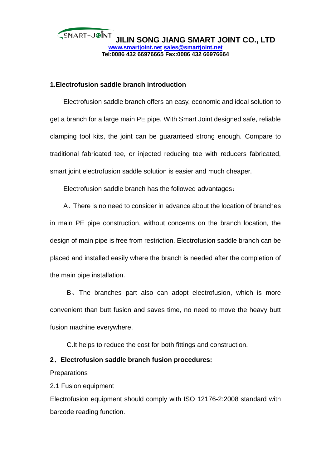

# **1.Electrofusion saddle branch introduction**

Electrofusion saddle branch offers an easy, economic and ideal solution to get a branch for a large main PE pipe. With Smart Joint designed safe, reliable clamping tool kits, the joint can be guaranteed strong enough. Compare to traditional fabricated tee, or injected reducing tee with reducers fabricated, smart joint electrofusion saddle solution is easier and much cheaper.

Electrofusion saddle branch has the followed advantages:

A、There is no need to consider in advance about the location of branches in main PE pipe construction, without concerns on the branch location, the design of main pipe is free from restriction. Electrofusion saddle branch can be placed and installed easily where the branch is needed after the completion of the main pipe installation.

B、The branches part also can adopt electrofusion, which is more convenient than butt fusion and saves time, no need to move the heavy butt fusion machine everywhere.

C.It helps to reduce the cost for both fittings and construction.

# **2**、**Electrofusion saddle branch fusion procedures:**

**Preparations** 

2.1 Fusion equipment

Electrofusion equipment should comply with ISO 12176-2:2008 standard with barcode reading function.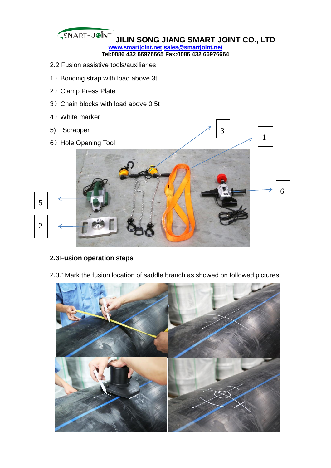

## **2.3Fusion operation steps**

2.3.1Mark the fusion location of saddle branch as showed on followed pictures.

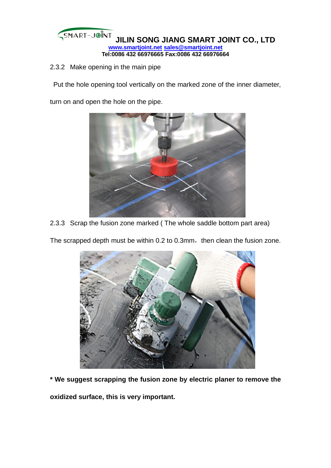

2.3.2 Make opening in the main pipe

Put the hole opening tool vertically on the marked zone of the inner diameter,

turn on and open the hole on the pipe.



2.3.3 Scrap the fusion zone marked ( The whole saddle bottom part area)

The scrapped depth must be within 0.2 to 0.3mm, then clean the fusion zone.



**\* We suggest scrapping the fusion zone by electric planer to remove the** 

**oxidized surface, this is very important.**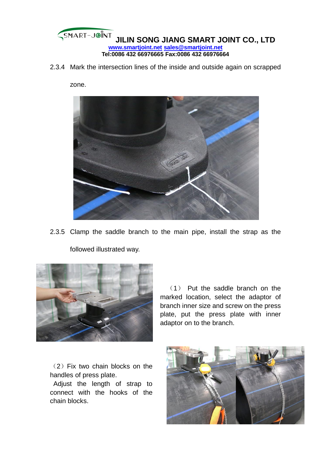

2.3.4 Mark the intersection lines of the inside and outside again on scrapped

zone.



2.3.5 Clamp the saddle branch to the main pipe, install the strap as the followed illustrated way.



 (1) Put the saddle branch on the marked location, select the adaptor of branch inner size and screw on the press plate, put the press plate with inner adaptor on to the branch.

(2)Fix two chain blocks on the handles of press plate.

Adjust the length of strap to connect with the hooks of the chain blocks.

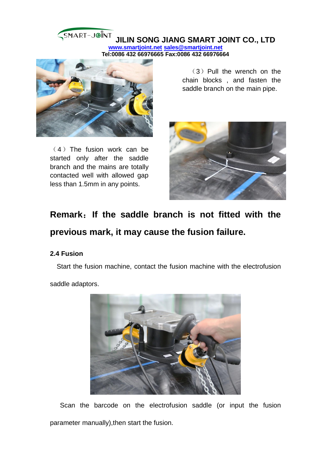#### SMART-JOINT **JILIN SONG JIANG SMART JOINT CO., LTD www.smartjoint.net sales@smartjoint.net Tel:0086 432 66976665 Fax:0086 432 66976664**



 $(4)$  The fusion work can be started only after the saddle branch and the mains are totally contacted well with allowed gap less than 1.5mm in any points.

 $(3)$  Pull the wrench on the chain blocks , and fasten the saddle branch on the main pipe.



# **Remark**:**If the saddle branch is not fitted with the previous mark, it may cause the fusion failure.**

## **2.4 Fusion**

Start the fusion machine, contact the fusion machine with the electrofusion

saddle adaptors.



Scan the barcode on the electrofusion saddle (or input the fusion parameter manually),then start the fusion.